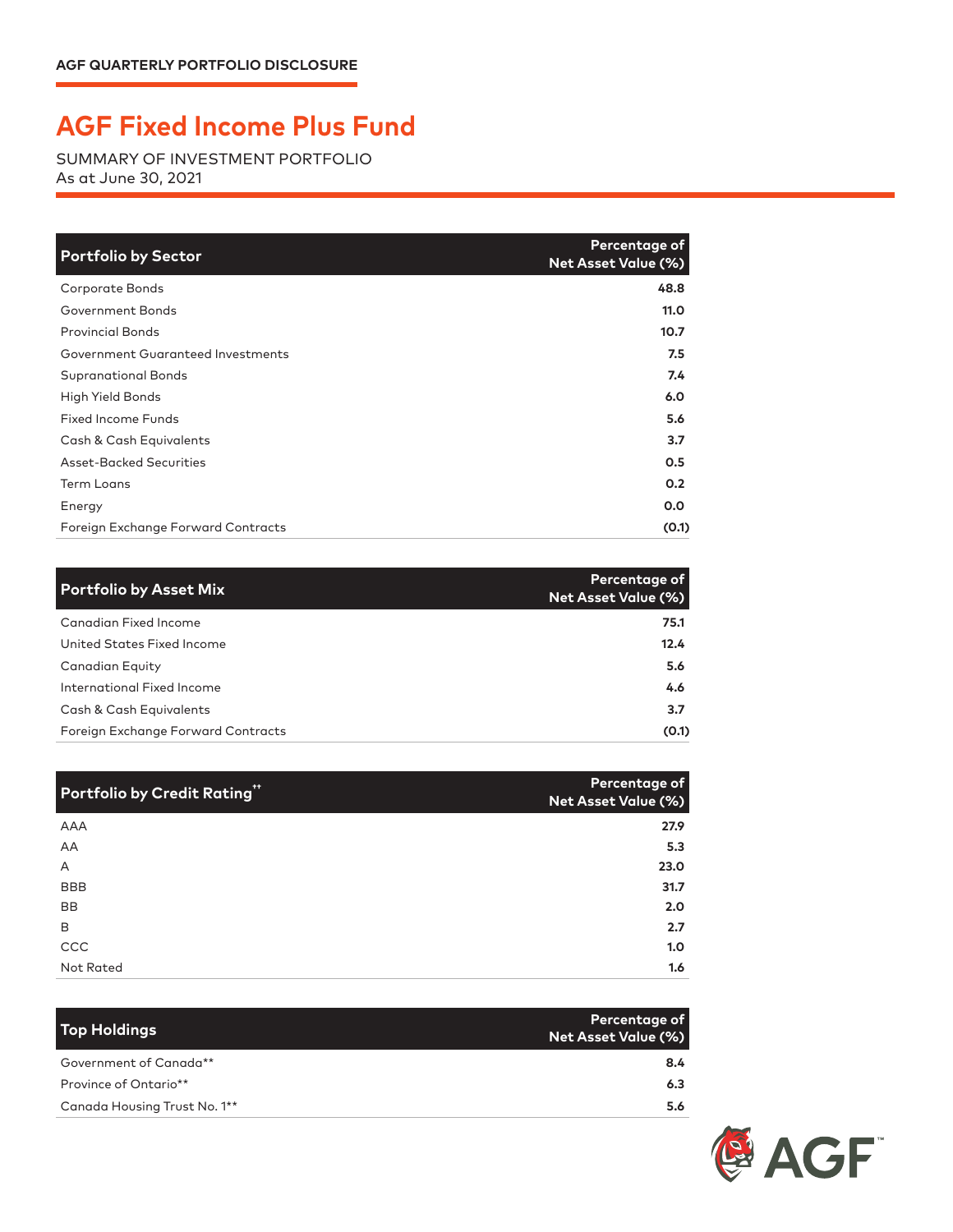## **AGF Fixed Income Plus Fund**

SUMMARY OF INVESTMENT PORTFOLIO As at June 30, 2021

| <b>Portfolio by Sector</b>         | Percentage of<br><b>Net Asset Value (%)</b> |
|------------------------------------|---------------------------------------------|
| Corporate Bonds                    | 48.8                                        |
| Government Bonds                   | 11.0                                        |
| <b>Provincial Bonds</b>            | 10.7                                        |
| Government Guaranteed Investments  | 7.5                                         |
| <b>Supranational Bonds</b>         | 7.4                                         |
| High Yield Bonds                   | 6.0                                         |
| <b>Fixed Income Funds</b>          | 5.6                                         |
| Cash & Cash Equivalents            | 3.7                                         |
| Asset-Backed Securities            | 0.5                                         |
| <b>Term Loans</b>                  | 0.2                                         |
| Energy                             | 0.0                                         |
| Foreign Exchange Forward Contracts | (0.1)                                       |

| <b>Portfolio by Asset Mix</b>      | Percentage of<br>Net Asset Value (%) |
|------------------------------------|--------------------------------------|
| Canadian Fixed Income              | 75.1                                 |
| United States Fixed Income         | 12.4                                 |
| Canadian Equity                    | 5.6                                  |
| International Fixed Income         | 4.6                                  |
| Cash & Cash Equivalents            | 3.7                                  |
| Foreign Exchange Forward Contracts | (0.1)                                |

| Portfolio by Credit Rating" | Percentage of<br>Net Asset Value (%) |
|-----------------------------|--------------------------------------|
| AAA                         | 27.9                                 |
| AA                          | 5.3                                  |
| A                           | 23.0                                 |
| <b>BBB</b>                  | 31.7                                 |
| <b>BB</b>                   | 2.0                                  |
| B                           | 2.7                                  |
| CCC                         | 1.0                                  |
| Not Rated                   | 1.6                                  |

| <b>Top Holdings</b>          | Percentage of<br><b>Net Asset Value (%)</b> |
|------------------------------|---------------------------------------------|
| Government of Canada**       | 8.4                                         |
| Province of Ontario**        | 6.3                                         |
| Canada Housing Trust No. 1** | 5.6                                         |